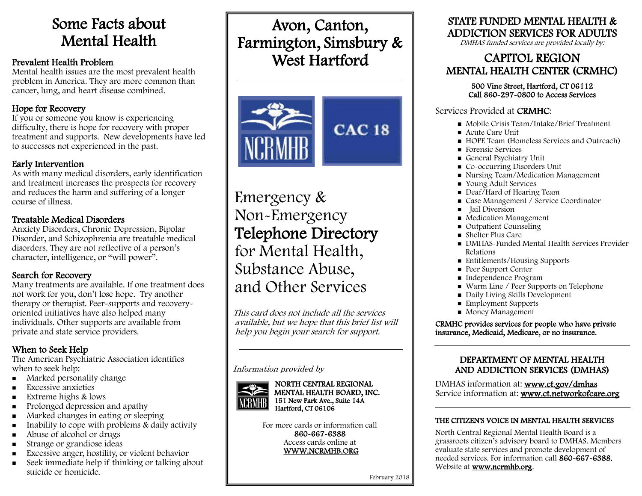# Some Facts about Mental Health

### Prevalent Health Problem

Mental health issues are the most prevalent health problem in America. They are more common than cancer, lung, and heart disease combined.

# Hope for Recovery

If you or someone you know is experiencing difficulty, there is hope for recovery with proper treatment and supports. New developments have led to successes not experienced in the past.

### Early Intervention

As with many medical disorders, early identification and treatment increases the prospects for recovery and reduces the harm and suffering of a longer course of illness.

## Treatable Medical Disorders

Anxiety Disorders, Chronic Depression, Bipolar Disorder, and Schizophrenia are treatable medical disorders. They are not reflective of a person's character, intelligence, or "will power".

# Search for Recovery

Many treatments are available. If one treatment does not work for you, don't lose hope. Try another therapy or therapist. Peer-supports and recoveryoriented initiatives have also helped many individuals. Other supports are available from private and state service providers.

# When to Seek Help

The American Psychiatric Association identifies when to seek help:

- **Marked personality change**
- **Excessive anxieties**
- Extreme highs  $&$  lows
- Prolonged depression and apathy
- **Marked changes in eating or sleeping**
- Inability to cope with problems  $\&$  daily activity
- Abuse of alcohol or drugs
- **Strange or grandiose ideas**
- Excessive anger, hostility, or violent behavior
- Seek immediate help if thinking or talking about suicide or homicide.

# Avon, Canton, Farmington, Simsbury & West Hartford



Emergency & Non-Emergency Telephone Directory for Mental Health, Substance Abuse, and Other Services

This card does not include all the services available, but we hope that this brief list will help you begin your search for support.

#### Information provided by



NORTH CENTRAL REGIONAL MENTAL HEALTH BOARD, INC. 151 New Park Ave., Suite 14A Hartford, CT 06106

For more cards or information call 860-667-6388 Access cards online at WWW.NCRMHB.ORG

# STATE FUNDED MENTAL HEALTH & ADDICTION SERVICES FOR ADULTS

DMHAS funded services are provided locally by:

# CAPITOL REGION MENTAL HEALTH CENTER (CRMHC)

# 500 Vine Street, Hartford, CT 06112 Call 860-297-0800 to Access Services

# Services Provided at CRMHC:

- Mobile Crisis Team/Intake/Brief Treatment
- Acute Care Unit
- HOPE Team (Homeless Services and Outreach)
- Forensic Services
- General Psychiatry Unit
- Co-occurring Disorders Unit
- Nursing Team/Medication Management
- Voung Adult Services
- Deaf/Hard of Hearing Team
- Case Management / Service Coordinator
- ullail Diversion
- **Medication Management**
- Outpatient Counseling
- Shelter Plus Care
- DMHAS-Funded Mental Health Services Provider Relations
- Entitlements/Housing Supports
- **Peer Support Center**
- Independence Program
- Warm Line / Peer Supports on Telephone
- Daily Living Skills Development
- **Employment Supports**
- **Money Management**

Ï

 $\overline{a}$ 

 CRMHC provides services for people who have private insurance, Medicaid, Medicare, or no insurance. 

# DEPARTMENT OF MENTAL HEALTH AND ADDICTION SERVICES (DMHAS)

DMHAS information at: www.ct.gov/dmhas Service information at: www.ct.networkofcare.org

### THE CITIZEN'S VOICE IN MENTAL HEALTH SERVICES

North Central Regional Mental Health Board is a grassroots citizen's advisory board to DMHAS. Members evaluate state services and promote development of needed services. For information call 860-667-6388. Website at www.ncrmhb.org.

February 2018